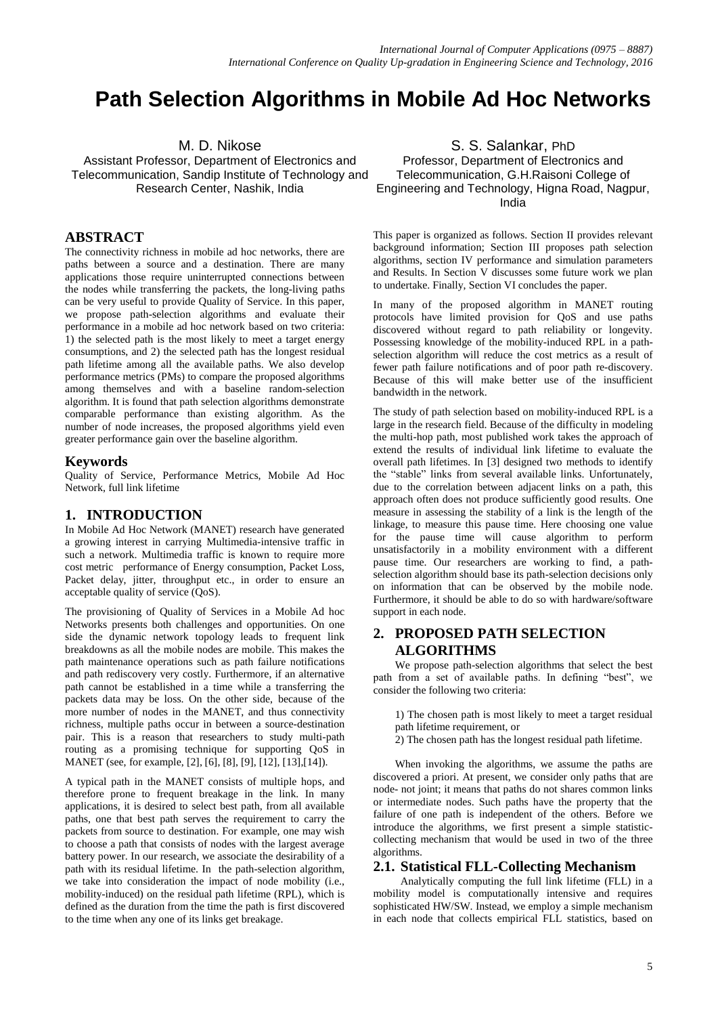# **Path Selection Algorithms in Mobile Ad Hoc Networks**

M. D. Nikose

Assistant Professor, Department of Electronics and Telecommunication, Sandip Institute of Technology and Research Center, Nashik, India

# **ABSTRACT**

The connectivity richness in mobile ad hoc networks, there are paths between a source and a destination. There are many applications those require uninterrupted connections between the nodes while transferring the packets, the long-living paths can be very useful to provide Quality of Service. In this paper, we propose path-selection algorithms and evaluate their performance in a mobile ad hoc network based on two criteria: 1) the selected path is the most likely to meet a target energy consumptions, and 2) the selected path has the longest residual path lifetime among all the available paths. We also develop performance metrics (PMs) to compare the proposed algorithms among themselves and with a baseline random-selection algorithm. It is found that path selection algorithms demonstrate comparable performance than existing algorithm. As the number of node increases, the proposed algorithms yield even greater performance gain over the baseline algorithm.

## **Keywords**

Quality of Service, Performance Metrics, Mobile Ad Hoc Network, full link lifetime

# **1. INTRODUCTION**

In Mobile Ad Hoc Network (MANET) research have generated a growing interest in carrying Multimedia-intensive traffic in such a network. Multimedia traffic is known to require more cost metric performance of Energy consumption, Packet Loss, Packet delay, jitter, throughput etc., in order to ensure an acceptable quality of service (QoS).

The provisioning of Quality of Services in a Mobile Ad hoc Networks presents both challenges and opportunities. On one side the dynamic network topology leads to frequent link breakdowns as all the mobile nodes are mobile. This makes the path maintenance operations such as path failure notifications and path rediscovery very costly. Furthermore, if an alternative path cannot be established in a time while a transferring the packets data may be loss. On the other side, because of the more number of nodes in the MANET, and thus connectivity richness, multiple paths occur in between a source-destination pair. This is a reason that researchers to study multi-path routing as a promising technique for supporting QoS in MANET (see, for example, [2], [6], [8], [9], [12], [13],[14]).

A typical path in the MANET consists of multiple hops, and therefore prone to frequent breakage in the link. In many applications, it is desired to select best path, from all available paths, one that best path serves the requirement to carry the packets from source to destination. For example, one may wish to choose a path that consists of nodes with the largest average battery power. In our research, we associate the desirability of a path with its residual lifetime. In the path-selection algorithm, we take into consideration the impact of node mobility (i.e., mobility-induced) on the residual path lifetime (RPL), which is defined as the duration from the time the path is first discovered to the time when any one of its links get breakage.

S. S. Salankar, PhD Professor, Department of Electronics and Telecommunication, G.H.Raisoni College of Engineering and Technology, Higna Road, Nagpur, India

This paper is organized as follows. Section II provides relevant background information; Section III proposes path selection algorithms, section IV performance and simulation parameters and Results. In Section V discusses some future work we plan to undertake. Finally, Section VI concludes the paper.

In many of the proposed algorithm in MANET routing protocols have limited provision for QoS and use paths discovered without regard to path reliability or longevity. Possessing knowledge of the mobility-induced RPL in a pathselection algorithm will reduce the cost metrics as a result of fewer path failure notifications and of poor path re-discovery. Because of this will make better use of the insufficient bandwidth in the network.

The study of path selection based on mobility-induced RPL is a large in the research field. Because of the difficulty in modeling the multi-hop path, most published work takes the approach of extend the results of individual link lifetime to evaluate the overall path lifetimes. In [3] designed two methods to identify the "stable" links from several available links. Unfortunately, due to the correlation between adjacent links on a path, this approach often does not produce sufficiently good results. One measure in assessing the stability of a link is the length of the linkage, to measure this pause time. Here choosing one value for the pause time will cause algorithm to perform unsatisfactorily in a mobility environment with a different pause time. Our researchers are working to find, a pathselection algorithm should base its path-selection decisions only on information that can be observed by the mobile node. Furthermore, it should be able to do so with hardware/software support in each node.

# **2. PROPOSED PATH SELECTION ALGORITHMS**

We propose path-selection algorithms that select the best path from a set of available paths. In defining "best", we consider the following two criteria:

1) The chosen path is most likely to meet a target residual path lifetime requirement, or

2) The chosen path has the longest residual path lifetime.

When invoking the algorithms, we assume the paths are discovered a priori. At present, we consider only paths that are node- not joint; it means that paths do not shares common links or intermediate nodes. Such paths have the property that the failure of one path is independent of the others. Before we introduce the algorithms, we first present a simple statisticcollecting mechanism that would be used in two of the three algorithms.

## **2.1. Statistical FLL-Collecting Mechanism**

Analytically computing the full link lifetime (FLL) in a mobility model is computationally intensive and requires sophisticated HW/SW. Instead, we employ a simple mechanism in each node that collects empirical FLL statistics, based on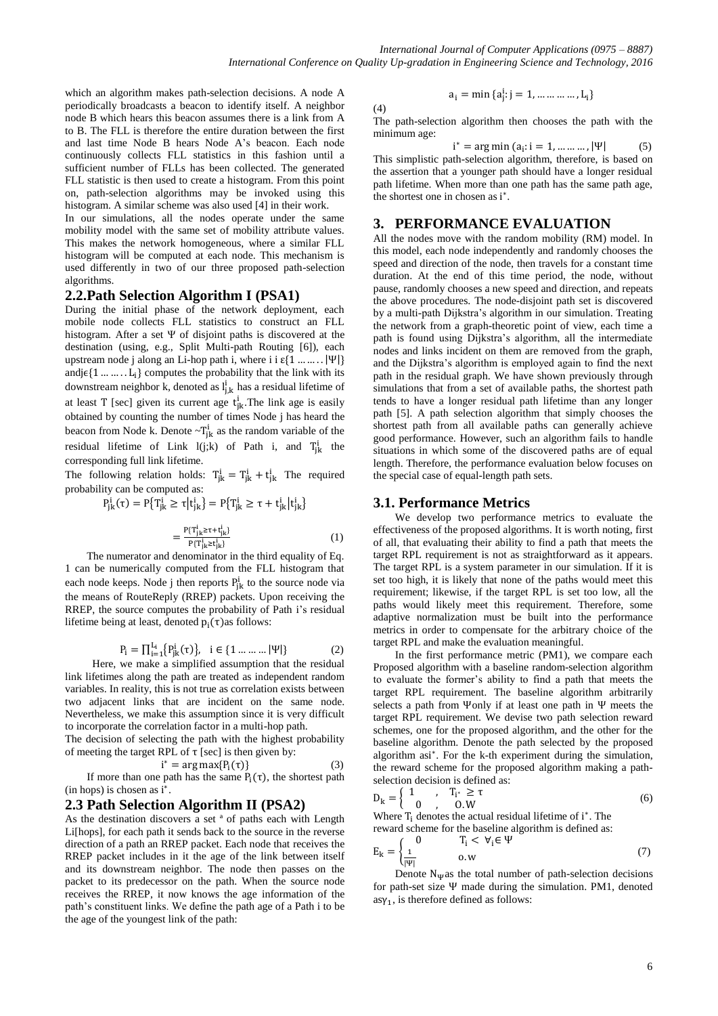which an algorithm makes path-selection decisions. A node A periodically broadcasts a beacon to identify itself. A neighbor node B which hears this beacon assumes there is a link from A to B. The FLL is therefore the entire duration between the first and last time Node B hears Node A's beacon. Each node continuously collects FLL statistics in this fashion until a sufficient number of FLLs has been collected. The generated FLL statistic is then used to create a histogram. From this point on, path-selection algorithms may be invoked using this histogram. A similar scheme was also used [4] in their work.

In our simulations, all the nodes operate under the same mobility model with the same set of mobility attribute values. This makes the network homogeneous, where a similar FLL histogram will be computed at each node. This mechanism is used differently in two of our three proposed path-selection algorithms.

#### **2.2.Path Selection Algorithm I (PSA1)**

During the initial phase of the network deployment, each mobile node collects FLL statistics to construct an FLL histogram. After a set Ψ of disjoint paths is discovered at the destination (using, e.g., Split Multi-path Routing [6]), each upstream node j along an Li-hop path i, where i i  $\varepsilon$ {1 ... ... . |  $|\Psi|$ } and  $j \in \{1, \ldots, L_i\}$  computes the probability that the link with its downstream neighbor k, denoted as  $l_{j,k}^{i}$  has a residual lifetime of at least T [sec] given its current age  $t_{ik}^i$ . The link age is easily obtained by counting the number of times Node j has heard the beacon from Node k. Denote  $\sim T_{ik}^{i}$  as the random variable of the residual lifetime of Link  $l(j;k)$  of Path i, and  $T_{ik}^{i}$  the corresponding full link lifetime.

The following relation holds:  $T_{ik}^i = T_{ik}^i + t_{ik}^i$  The required probability can be computed as:

$$
P_{jk}^{i}(\tau) = P\{T_{jk}^{i} \ge \tau | t_{jk}^{i} \} = P\{T_{jk}^{i} \ge \tau + t_{jk}^{i} | t_{jk}^{i} \}
$$

$$
=\frac{P\{T_{jk}^i \ge \tau + t_{jk}^i\}}{P\{T_{jk}^i \ge t_{jk}^i\}}\tag{1}
$$

The numerator and denominator in the third equality of Eq. 1 can be numerically computed from the FLL histogram that each node keeps. Node j then reports  $P_{ik}^{i}$  to the source node via the means of RouteReply (RREP) packets. Upon receiving the RREP, the source computes the probability of Path i's residual lifetime being at least, denoted  $p_i(\tau)$  as follows:

$$
P_i = \prod_{i=1}^{L_i} \{ P_{jk}^i(\tau) \}, \quad i \in \{1 \dots \dots \dots |\Psi| \}
$$
 (2)

Here, we make a simplified assumption that the residual link lifetimes along the path are treated as independent random variables. In reality, this is not true as correlation exists between two adjacent links that are incident on the same node. Nevertheless, we make this assumption since it is very difficult to incorporate the correlation factor in a multi-hop path.

The decision of selecting the path with the highest probability of meeting the target RPL of  $\tau$  [sec] is then given by:

$$
* = \arg \max\{P_i(\tau)\}\tag{3}
$$

If more than one path has the same  $P_i(\tau)$ , the shortest path (in hops) is chosen as i<sup>\*</sup>.

## **2.3 Path Selection Algorithm II (PSA2)**

As the destination discovers a set ª of paths each with Length Li[hops], for each path it sends back to the source in the reverse direction of a path an RREP packet. Each node that receives the RREP packet includes in it the age of the link between itself and its downstream neighbor. The node then passes on the packet to its predecessor on the path. When the source node receives the RREP, it now knows the age information of the path's constituent links. We define the path age of a Path i to be the age of the youngest link of the path:

$$
(4)
$$

The path-selection algorithm then chooses the path with the minimum age:

$$
i^* = \arg\min (a_i : i = 1, ..., ..., |\Psi|
$$
 (5)

 $i: j = 1, ..., ..., ..., L_i$ 

This simplistic path-selection algorithm, therefore, is based on the assertion that a younger path should have a longer residual path lifetime. When more than one path has the same path age, the shortest one in chosen as i\*.

## **3. PERFORMANCE EVALUATION**

All the nodes move with the random mobility (RM) model. In this model, each node independently and randomly chooses the speed and direction of the node, then travels for a constant time duration. At the end of this time period, the node, without pause, randomly chooses a new speed and direction, and repeats the above procedures. The node-disjoint path set is discovered by a multi-path Dijkstra's algorithm in our simulation. Treating the network from a graph-theoretic point of view, each time a path is found using Dijkstra's algorithm, all the intermediate nodes and links incident on them are removed from the graph, and the Dijkstra's algorithm is employed again to find the next path in the residual graph. We have shown previously through simulations that from a set of available paths, the shortest path tends to have a longer residual path lifetime than any longer path [5]. A path selection algorithm that simply chooses the shortest path from all available paths can generally achieve good performance. However, such an algorithm fails to handle situations in which some of the discovered paths are of equal length. Therefore, the performance evaluation below focuses on the special case of equal-length path sets.

## **3.1. Performance Metrics**

We develop two performance metrics to evaluate the effectiveness of the proposed algorithms. It is worth noting, first of all, that evaluating their ability to find a path that meets the target RPL requirement is not as straightforward as it appears. The target RPL is a system parameter in our simulation. If it is set too high, it is likely that none of the paths would meet this requirement; likewise, if the target RPL is set too low, all the paths would likely meet this requirement. Therefore, some adaptive normalization must be built into the performance metrics in order to compensate for the arbitrary choice of the target RPL and make the evaluation meaningful.

In the first performance metric (PM1), we compare each Proposed algorithm with a baseline random-selection algorithm to evaluate the former's ability to find a path that meets the target RPL requirement. The baseline algorithm arbitrarily selects a path from  $\Psi$ only if at least one path in  $\Psi$  meets the target RPL requirement. We devise two path selection reward schemes, one for the proposed algorithm, and the other for the baseline algorithm. Denote the path selected by the proposed algorithm asi<sup>\*</sup>. For the k-th experiment during the simulation, the reward scheme for the proposed algorithm making a pathselection decision is defined as:

$$
D_k = \begin{cases} 1, & T_{i^*} \ge \tau \\ 0, & 0.0 \end{cases}
$$
 (6)

Where  $T_i$  denotes the actual residual lifetime of i\*. The reward scheme for the baseline algorithm is defined as:

$$
E_{k} = \begin{cases} 0 & T_{i} < \forall_{i} \in \Psi \\ \frac{1}{|\Psi|} & 0.w \end{cases}
$$
 (7)

Denote  $N_{\Psi}$ as the total number of path-selection decisions for path-set size  $\Psi$  made during the simulation. PM1, denoted  $asy_1$ , is therefore defined as follows: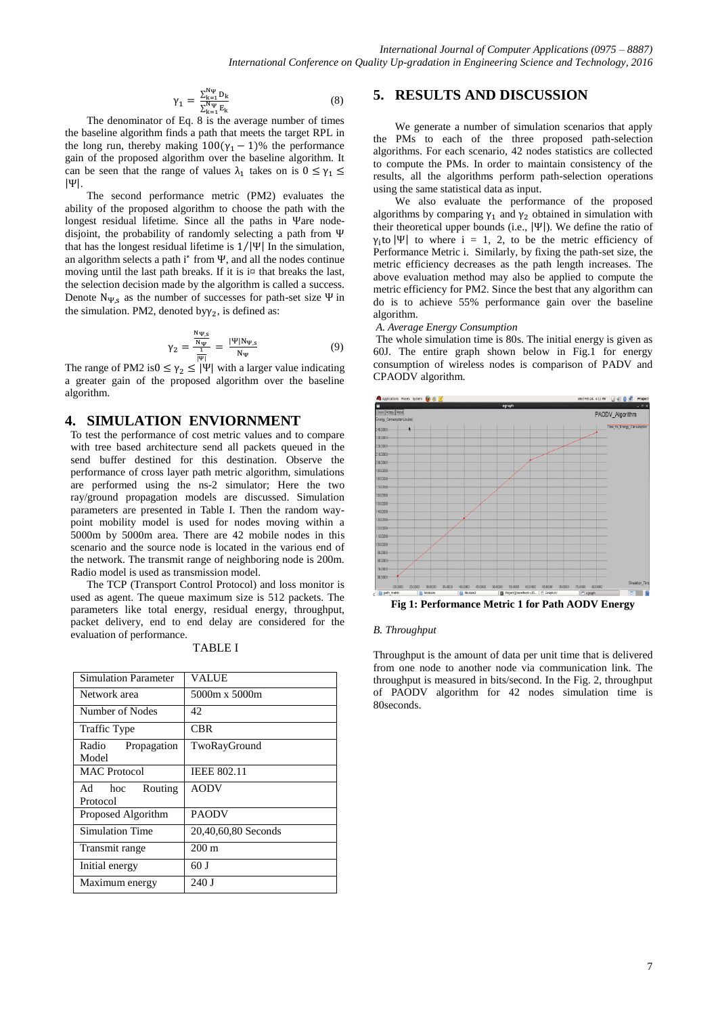$$
\gamma_1 = \frac{\sum_{k=1}^{N\psi} D_k}{\sum_{k=1}^{N\psi} E_k} \tag{8}
$$

The denominator of Eq. 8 is the average number of times the baseline algorithm finds a path that meets the target RPL in the long run, thereby making  $100(\gamma_1 - 1)\%$  the performance gain of the proposed algorithm over the baseline algorithm. It can be seen that the range of values  $\lambda_1$  takes on is  $0 \le \gamma_1 \le$  $|\Psi|$ .

The second performance metric (PM2) evaluates the ability of the proposed algorithm to choose the path with the longest residual lifetime. Since all the paths in Vare nodedisjoint, the probability of randomly selecting a path from that has the longest residual lifetime is  $1/|\Psi|$  In the simulation, an algorithm selects a path  $i^*$  from  $\Psi$ , and all the nodes continue moving until the last path breaks. If it is  $i\alpha$  that breaks the last, the selection decision made by the algorithm is called a success. Denote  $N_{\Psi,s}$  as the number of successes for path-set size  $\Psi$  in the simulation. PM2, denoted by  $\gamma_2$ , is defined as:

$$
\gamma_2 = \frac{\frac{N\psi_{,S}}{N\psi}}{\frac{1}{|w|}} = \frac{|\Psi| N\psi_{,S}}{N\psi} \tag{9}
$$

The range of PM2 is  $0 \le \gamma_2 \le |\Psi|$  with a larger value indicating a greater gain of the proposed algorithm over the baseline algorithm.

# **4. SIMULATION ENVIORNMENT**

To test the performance of cost metric values and to compare with tree based architecture send all packets queued in the send buffer destined for this destination. Observe the performance of cross layer path metric algorithm, simulations are performed using the ns-2 simulator; Here the two ray/ground propagation models are discussed. Simulation parameters are presented in Table I. Then the random waypoint mobility model is used for nodes moving within a 5000m by 5000m area. There are 42 mobile nodes in this scenario and the source node is located in the various end of the network. The transmit range of neighboring node is 200m. Radio model is used as transmission model.

The TCP (Transport Control Protocol) and loss monitor is used as agent. The queue maximum size is 512 packets. The parameters like total energy, residual energy, throughput, packet delivery, end to end delay are considered for the evaluation of performance.

| <b>Simulation Parameter</b>   | <b>VALUE</b>        |
|-------------------------------|---------------------|
| Network area                  | 5000m x 5000m       |
| Number of Nodes               | 42                  |
| Traffic Type                  | <b>CBR</b>          |
| Radio<br>Propagation<br>Model | TwoRayGround        |
| <b>MAC</b> Protocol           | <b>IEEE 802.11</b>  |
| Ad hoc Routing<br>Protocol    | <b>AODV</b>         |
| Proposed Algorithm            | PAODV               |
| <b>Simulation Time</b>        | 20,40,60,80 Seconds |
| Transmit range                | $200 \text{ m}$     |
| Initial energy                | 60 J                |
| Maximum energy                | 240 J               |

TABLE I

#### **5. RESULTS AND DISCUSSION**

We generate a number of simulation scenarios that apply the PMs to each of the three proposed path-selection algorithms. For each scenario, 42 nodes statistics are collected to compute the PMs. In order to maintain consistency of the results, all the algorithms perform path-selection operations using the same statistical data as input.

We also evaluate the performance of the proposed algorithms by comparing  $\gamma_1$  and  $\gamma_2$  obtained in simulation with their theoretical upper bounds (i.e.,  $|\Psi|$ ). We define the ratio of  $\gamma_i$  to  $|\Psi|$  to where i = 1, 2, to be the metric efficiency of Performance Metric i. Similarly, by fixing the path-set size, the metric efficiency decreases as the path length increases. The above evaluation method may also be applied to compute the metric efficiency for PM2. Since the best that any algorithm can do is to achieve 55% performance gain over the baseline algorithm.

*A. Average Energy Consumption* 

The whole simulation time is 80s. The initial energy is given as 60J. The entire graph shown below in Fig.1 for energy consumption of wireless nodes is comparison of PADV and CPAODV algorithm.



**Fig 1: Performance Metric 1 for Path AODV Energy**

#### *B. Throughput*

Throughput is the amount of data per unit time that is delivered from one node to another node via communication link. The throughput is measured in bits/second. In the Fig. 2, throughput of PAODV algorithm for 42 nodes simulation time is 80seconds.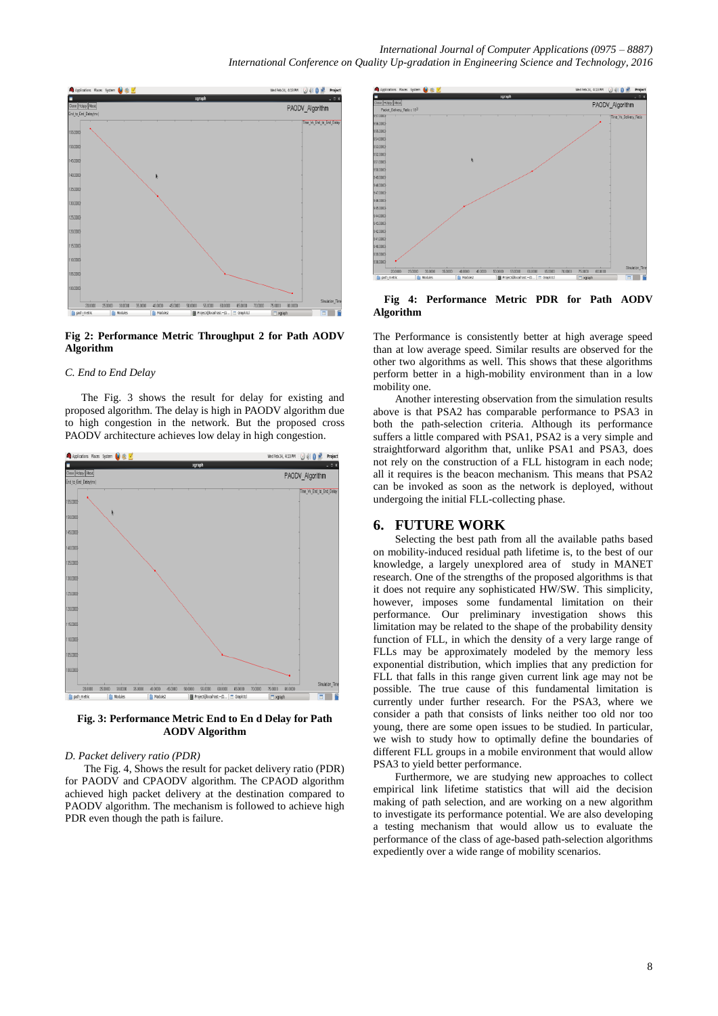

**Fig 2: Performance Metric Throughput 2 for Path AODV Algorithm**

#### *C. End to End Delay*

 The Fig. 3 shows the result for delay for existing and proposed algorithm. The delay is high in PAODV algorithm due to high congestion in the network. But the proposed cross PAODV architecture achieves low delay in high congestion.



**Fig. 3: Performance Metric End to En d Delay for Path AODV Algorithm**

#### *D. Packet delivery ratio (PDR)*

The Fig. 4, Shows the result for packet delivery ratio (PDR) for PAODV and CPAODV algorithm. The CPAOD algorithm achieved high packet delivery at the destination compared to PAODV algorithm. The mechanism is followed to achieve high PDR even though the path is failure.



#### **Fig 4: Performance Metric PDR for Path AODV Algorithm**

The Performance is consistently better at high average speed than at low average speed. Similar results are observed for the other two algorithms as well. This shows that these algorithms perform better in a high-mobility environment than in a low mobility one.

Another interesting observation from the simulation results above is that PSA2 has comparable performance to PSA3 in both the path-selection criteria. Although its performance suffers a little compared with PSA1, PSA2 is a very simple and straightforward algorithm that, unlike PSA1 and PSA3, does not rely on the construction of a FLL histogram in each node; all it requires is the beacon mechanism. This means that PSA2 can be invoked as soon as the network is deployed, without undergoing the initial FLL-collecting phase.

## **6. FUTURE WORK**

Selecting the best path from all the available paths based on mobility-induced residual path lifetime is, to the best of our knowledge, a largely unexplored area of study in MANET research. One of the strengths of the proposed algorithms is that it does not require any sophisticated HW/SW. This simplicity, however, imposes some fundamental limitation on their performance. Our preliminary investigation shows this limitation may be related to the shape of the probability density function of FLL, in which the density of a very large range of FLLs may be approximately modeled by the memory less exponential distribution, which implies that any prediction for FLL that falls in this range given current link age may not be possible. The true cause of this fundamental limitation is currently under further research. For the PSA3, where we consider a path that consists of links neither too old nor too young, there are some open issues to be studied. In particular, we wish to study how to optimally define the boundaries of different FLL groups in a mobile environment that would allow PSA3 to yield better performance.

Furthermore, we are studying new approaches to collect empirical link lifetime statistics that will aid the decision making of path selection, and are working on a new algorithm to investigate its performance potential. We are also developing a testing mechanism that would allow us to evaluate the performance of the class of age-based path-selection algorithms expediently over a wide range of mobility scenarios.